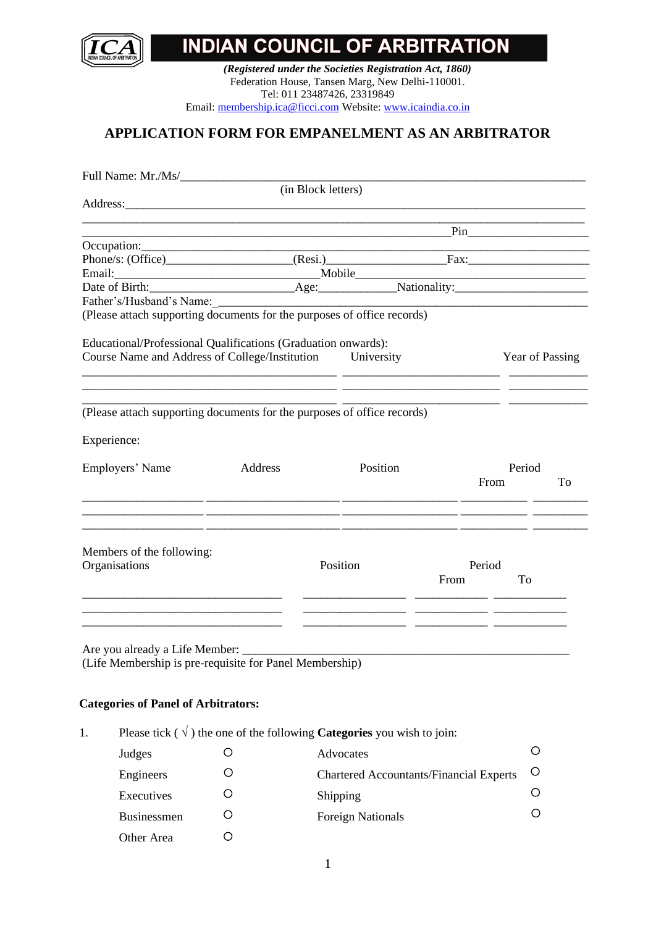

# **INDIAN COUNCIL OF ARBITRATION**

*(Registered under the Societies Registration Act, 1860)* Federation House, Tansen Marg, New Delhi-110001. Tel: 011 23487426, 23319849 Email: [membership.ica@ficci.com](mailto:membership.ica@ficci.com) Website[: www.icaindia.co.in](http://www.icaindia.co.in/)

### **APPLICATION FORM FOR EMPANELMENT AS AN ARBITRATOR**

|                                                                         | (in Block letters)                                                                                                    |          |        |                        |    |
|-------------------------------------------------------------------------|-----------------------------------------------------------------------------------------------------------------------|----------|--------|------------------------|----|
|                                                                         |                                                                                                                       |          |        |                        |    |
|                                                                         |                                                                                                                       |          |        |                        |    |
|                                                                         |                                                                                                                       |          |        |                        |    |
|                                                                         |                                                                                                                       |          |        |                        |    |
|                                                                         |                                                                                                                       |          |        |                        |    |
|                                                                         |                                                                                                                       |          |        |                        |    |
|                                                                         |                                                                                                                       |          |        |                        |    |
| (Please attach supporting documents for the purposes of office records) |                                                                                                                       |          |        |                        |    |
|                                                                         |                                                                                                                       |          |        |                        |    |
| Educational/Professional Qualifications (Graduation onwards):           |                                                                                                                       |          |        |                        |    |
| Course Name and Address of College/Institution University               |                                                                                                                       |          |        | <b>Year of Passing</b> |    |
|                                                                         |                                                                                                                       |          |        |                        |    |
|                                                                         | <u> 1989 - Johann Harry Harry Harry Harry Harry Harry Harry Harry Harry Harry Harry Harry Harry Harry Harry Harry</u> |          |        |                        |    |
| (Please attach supporting documents for the purposes of office records) |                                                                                                                       |          |        |                        |    |
|                                                                         |                                                                                                                       |          |        |                        |    |
| Experience:                                                             |                                                                                                                       |          |        |                        |    |
|                                                                         |                                                                                                                       |          |        |                        |    |
| Employers' Name                                                         | Address                                                                                                               | Position |        | Period                 |    |
|                                                                         |                                                                                                                       |          |        | From                   | To |
|                                                                         |                                                                                                                       |          |        |                        |    |
|                                                                         |                                                                                                                       |          |        |                        |    |
|                                                                         |                                                                                                                       |          |        |                        |    |
|                                                                         |                                                                                                                       |          |        |                        |    |
| Members of the following:                                               |                                                                                                                       |          |        |                        |    |
| Organisations                                                           |                                                                                                                       | Position | Period |                        |    |
|                                                                         |                                                                                                                       |          | From   | To                     |    |
|                                                                         |                                                                                                                       |          |        |                        |    |
|                                                                         |                                                                                                                       |          |        |                        |    |
|                                                                         |                                                                                                                       |          |        |                        |    |
|                                                                         |                                                                                                                       |          |        |                        |    |
| (Life Membership is pre-requisite for Panel Membership)                 |                                                                                                                       |          |        |                        |    |
|                                                                         |                                                                                                                       |          |        |                        |    |
|                                                                         |                                                                                                                       |          |        |                        |    |

### **Categories of Panel of Arbitrators:**

1. Please tick  $(\sqrt{})$  the one of the following **Categories** you wish to join:

| Judges             | Advocates                                      |                      |
|--------------------|------------------------------------------------|----------------------|
| Engineers          | <b>Chartered Accountants/Financial Experts</b> | $\left( \right)$     |
| Executives         | Shipping                                       |                      |
| <b>Businessmen</b> | <b>Foreign Nationals</b>                       | $\left(\cdot\right)$ |
| Other Area         |                                                |                      |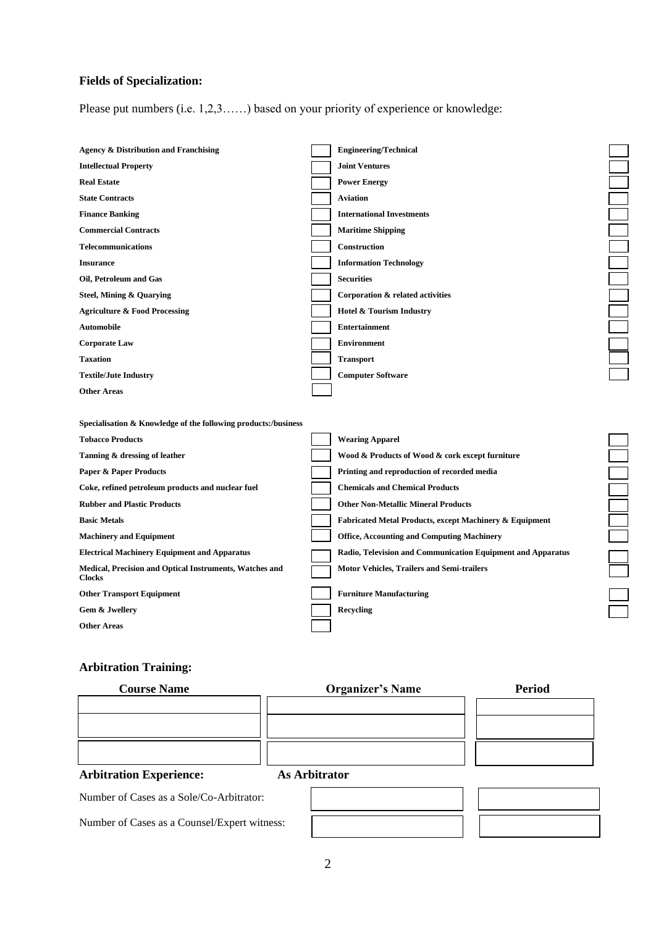### **Fields of Specialization:**

Please put numbers (i.e. 1,2,3……) based on your priority of experience or knowledge:

| Agency & Distribution and Franchising                                    | <b>Engineering/Technical</b>                                       |  |
|--------------------------------------------------------------------------|--------------------------------------------------------------------|--|
| <b>Intellectual Property</b>                                             | <b>Joint Ventures</b>                                              |  |
| <b>Real Estate</b>                                                       | <b>Power Energy</b>                                                |  |
| <b>State Contracts</b>                                                   | <b>Aviation</b>                                                    |  |
| <b>Finance Banking</b>                                                   | <b>International Investments</b>                                   |  |
| <b>Commercial Contracts</b>                                              | <b>Maritime Shipping</b>                                           |  |
| <b>Telecommunications</b>                                                | Construction                                                       |  |
| <b>Insurance</b>                                                         | <b>Information Technology</b>                                      |  |
| Oil, Petroleum and Gas                                                   | <b>Securities</b>                                                  |  |
| Steel, Mining & Quarying                                                 | Corporation & related activities                                   |  |
| <b>Agriculture &amp; Food Processing</b>                                 | <b>Hotel &amp; Tourism Industry</b>                                |  |
| <b>Automobile</b>                                                        | <b>Entertainment</b>                                               |  |
| <b>Corporate Law</b>                                                     | <b>Environment</b>                                                 |  |
| <b>Taxation</b>                                                          | <b>Transport</b>                                                   |  |
| <b>Textile/Jute Industry</b>                                             | <b>Computer Software</b>                                           |  |
| <b>Other Areas</b>                                                       |                                                                    |  |
|                                                                          |                                                                    |  |
| Specialisation & Knowledge of the following products:/business           |                                                                    |  |
| <b>Tobacco Products</b>                                                  | <b>Wearing Apparel</b>                                             |  |
| Tanning & dressing of leather                                            | Wood & Products of Wood & cork except furniture                    |  |
| Paper & Paper Products                                                   | Printing and reproduction of recorded media                        |  |
| Coke, refined petroleum products and nuclear fuel                        | <b>Chemicals and Chemical Products</b>                             |  |
| <b>Rubber and Plastic Products</b>                                       | <b>Other Non-Metallic Mineral Products</b>                         |  |
| <b>Basic Metals</b>                                                      | <b>Fabricated Metal Products, except Machinery &amp; Equipment</b> |  |
| <b>Machinery and Equipment</b>                                           | <b>Office, Accounting and Computing Machinery</b>                  |  |
| <b>Electrical Machinery Equipment and Apparatus</b>                      | Radio, Television and Communication Equipment and Apparatus        |  |
| Medical, Precision and Optical Instruments, Watches and<br><b>Clocks</b> | <b>Motor Vehicles, Trailers and Semi-trailers</b>                  |  |
| <b>Other Transport Equipment</b>                                         | <b>Furniture Manufacturing</b>                                     |  |
| Gem & Jwellery                                                           | Recycling                                                          |  |
| <b>Other Areas</b>                                                       |                                                                    |  |
|                                                                          |                                                                    |  |

### **Arbitration Training:**

| <b>Course Name</b>                           | <b>Organizer's Name</b> | <b>Period</b> |
|----------------------------------------------|-------------------------|---------------|
|                                              |                         |               |
|                                              |                         |               |
|                                              |                         |               |
|                                              |                         |               |
| <b>Arbitration Experience:</b>               | <b>As Arbitrator</b>    |               |
| Number of Cases as a Sole/Co-Arbitrator:     |                         |               |
| Number of Cases as a Counsel/Expert witness: |                         |               |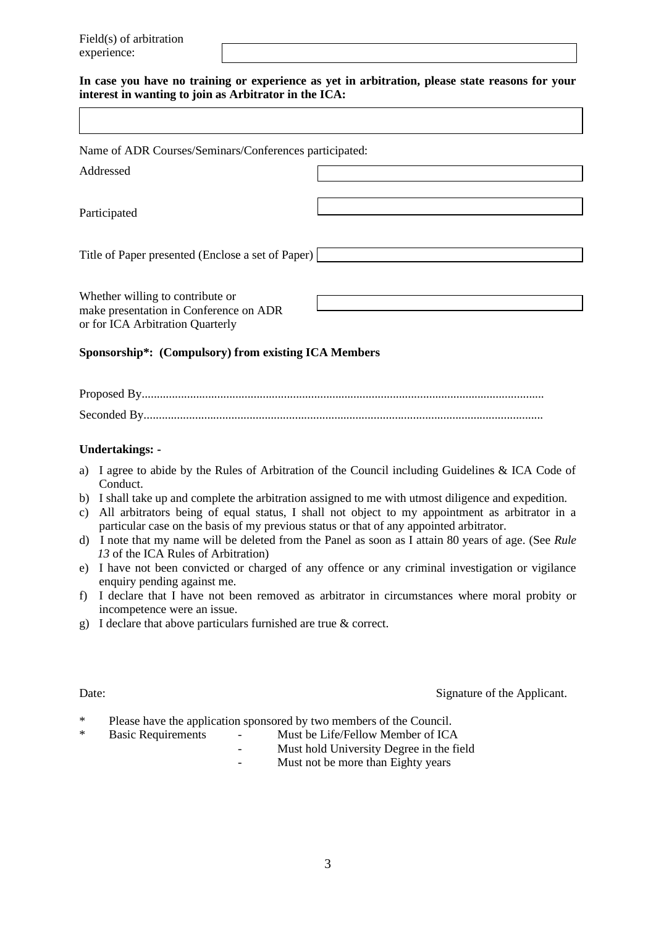Field(s) of arbitration experience:

### **In case you have no training or experience as yet in arbitration, please state reasons for your interest in wanting to join as Arbitrator in the ICA:**

| Name of ADR Courses/Seminars/Conferences participated: |  |
|--------------------------------------------------------|--|
| Addressed                                              |  |
| Participated                                           |  |
| Title of Paper presented (Enclose a set of Paper)      |  |
| Whether willing to contribute or                       |  |

make presentation in Conference on ADR or for ICA Arbitration Quarterly

### **Sponsorship\*: (Compulsory) from existing ICA Members**

### **Undertakings: -**

- a) I agree to abide by the Rules of Arbitration of the Council including Guidelines & ICA Code of Conduct.
- b) I shall take up and complete the arbitration assigned to me with utmost diligence and expedition.
- c) All arbitrators being of equal status, I shall not object to my appointment as arbitrator in a particular case on the basis of my previous status or that of any appointed arbitrator.
- d) I note that my name will be deleted from the Panel as soon as I attain 80 years of age. (See *Rule 13* of the ICA Rules of Arbitration)
- e) I have not been convicted or charged of any offence or any criminal investigation or vigilance enquiry pending against me.
- f) I declare that I have not been removed as arbitrator in circumstances where moral probity or incompetence were an issue.
- g) I declare that above particulars furnished are true & correct.

### Date: Signature of the Applicant.

- \* Please have the application sponsored by two members of the Council.
- \* Basic Requirements Must be Life/Fellow Member of ICA
	-
	- Must hold University Degree in the field
	- Must not be more than Eighty years